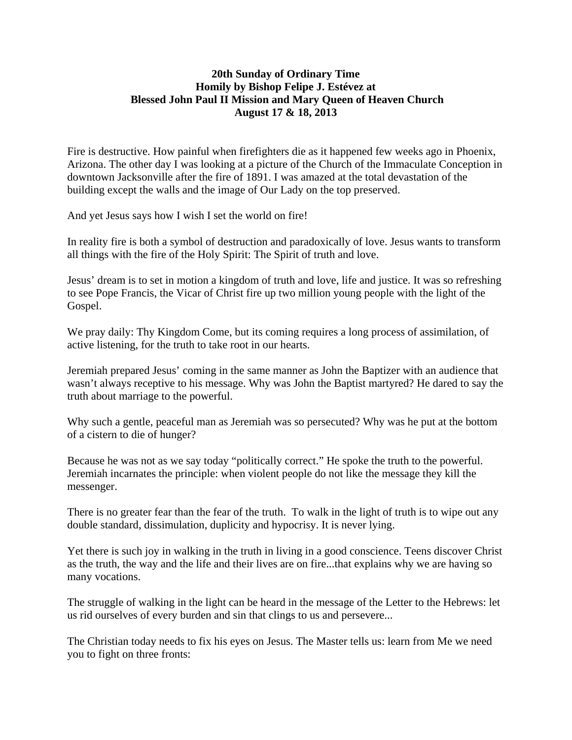## **20th Sunday of Ordinary Time Homily by Bishop Felipe J. Estévez at Blessed John Paul II Mission and Mary Queen of Heaven Church August 17 & 18, 2013**

Fire is destructive. How painful when firefighters die as it happened few weeks ago in Phoenix, Arizona. The other day I was looking at a picture of the Church of the Immaculate Conception in downtown Jacksonville after the fire of 1891. I was amazed at the total devastation of the building except the walls and the image of Our Lady on the top preserved.

And yet Jesus says how I wish I set the world on fire!

In reality fire is both a symbol of destruction and paradoxically of love. Jesus wants to transform all things with the fire of the Holy Spirit: The Spirit of truth and love.

Jesus' dream is to set in motion a kingdom of truth and love, life and justice. It was so refreshing to see Pope Francis, the Vicar of Christ fire up two million young people with the light of the Gospel.

We pray daily: Thy Kingdom Come, but its coming requires a long process of assimilation, of active listening, for the truth to take root in our hearts.

Jeremiah prepared Jesus' coming in the same manner as John the Baptizer with an audience that wasn't always receptive to his message. Why was John the Baptist martyred? He dared to say the truth about marriage to the powerful.

Why such a gentle, peaceful man as Jeremiah was so persecuted? Why was he put at the bottom of a cistern to die of hunger?

Because he was not as we say today "politically correct." He spoke the truth to the powerful. Jeremiah incarnates the principle: when violent people do not like the message they kill the messenger.

There is no greater fear than the fear of the truth. To walk in the light of truth is to wipe out any double standard, dissimulation, duplicity and hypocrisy. It is never lying.

Yet there is such joy in walking in the truth in living in a good conscience. Teens discover Christ as the truth, the way and the life and their lives are on fire...that explains why we are having so many vocations.

The struggle of walking in the light can be heard in the message of the Letter to the Hebrews: let us rid ourselves of every burden and sin that clings to us and persevere...

The Christian today needs to fix his eyes on Jesus. The Master tells us: learn from Me we need you to fight on three fronts: